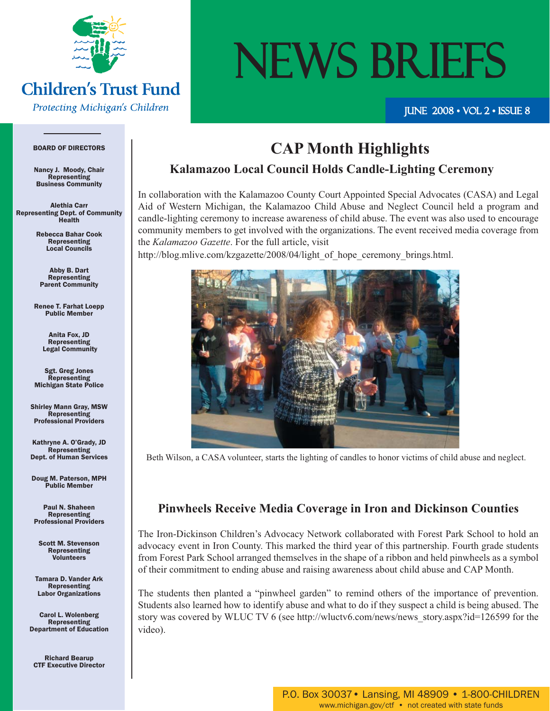

# **Children's Trust Fund**

**Protecting Michigan's Children** 

# NEWS BRIEFS

#### JUNE  $2008 \cdot \text{VOL} 2 \cdot \text{ISSUE} 8$

#### BOARD OF DIRECTORS

Nancy J. Moody, Chair Representing Business Community

Alethia Carr Representing Dept. of Community Health

> Rebecca Bahar Cook Representing Local Councils

Abby B. Dart Representing Parent Community

Renee T. Farhat Loepp Public Member

> Anita Fox, JD Representing Legal Community

Sgt. Greg Jones **Representing** Michigan State Police

Shirley Mann Gray, MSW Representing Professional Providers

Kathryne A. O'Grady, JD Representing Dept. of Human Services

Doug M. Paterson, MPH Public Member

Paul N. Shaheen Representing Professional Providers

Scott M. Stevenson Representing Volunteers

Tamara D. Vander Ark **Representing** Labor Organizations

Carol L. Wolenberg Representing Department of Education

Richard Bearup CTF Executive Director

# **CAP Month Highlights**

#### **Kalamazoo Local Council Holds Candle-Lighting Ceremony**

In collaboration with the Kalamazoo County Court Appointed Special Advocates (CASA) and Legal Aid of Western Michigan, the Kalamazoo Child Abuse and Neglect Council held a program and candle-lighting ceremony to increase awareness of child abuse. The event was also used to encourage community members to get involved with the organizations. The event received media coverage from the *Kalamazoo Gazette*. For the full article, visit

http://blog.mlive.com/kzgazette/2008/04/light of hope ceremony brings.html.



Beth Wilson, a CASA volunteer, starts the lighting of candles to honor victims of child abuse and neglect.

#### **Pinwheels Receive Media Coverage in Iron and Dickinson Counties**

The Iron-Dickinson Children's Advocacy Network collaborated with Forest Park School to hold an advocacy event in Iron County. This marked the third year of this partnership. Fourth grade students from Forest Park School arranged themselves in the shape of a ribbon and held pinwheels as a symbol of their commitment to ending abuse and raising awareness about child abuse and CAP Month.

The students then planted a "pinwheel garden" to remind others of the importance of prevention. Students also learned how to identify abuse and what to do if they suspect a child is being abused. The story was covered by WLUC TV 6 (see http://wluctv6.com/news/news\_story.aspx?id=126599 for the video).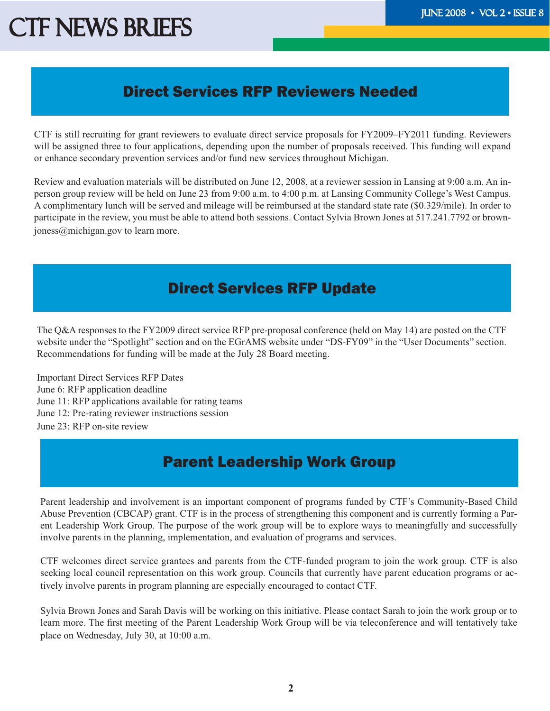# CTF NEWS BRIEFS THE TELL THE 2008 • VOL 2 • ISSUE 8

## Direct Services RFP Reviewers Needed

CTF is still recruiting for grant reviewers to evaluate direct service proposals for FY2009–FY2011 funding. Reviewers will be assigned three to four applications, depending upon the number of proposals received. This funding will expand or enhance secondary prevention services and/or fund new services throughout Michigan.

Review and evaluation materials will be distributed on June 12, 2008, at a reviewer session in Lansing at 9:00 a.m. An inperson group review will be held on June 23 from 9:00 a.m. to 4:00 p.m. at Lansing Community College's West Campus. A complimentary lunch will be served and mileage will be reimbursed at the standard state rate (\$0.329/mile). In order to participate in the review, you must be able to attend both sessions. Contact Sylvia Brown Jones at 517.241.7792 or brownjoness@michigan.gov to learn more.

## Direct Services RFP Update

The Q&A responses to the FY2009 direct service RFP pre-proposal conference (held on May 14) are posted on the CTF website under the "Spotlight" section and on the EGrAMS website under "DS-FY09" in the "User Documents" section. Recommendations for funding will be made at the July 28 Board meeting.

Important Direct Services RFP Dates June 6: RFP application deadline June 11: RFP applications available for rating teams June 12: Pre-rating reviewer instructions session June 23: RFP on-site review

# Parent Leadership Work Group

Parent leadership and involvement is an important component of programs funded by CTF's Community-Based Child Abuse Prevention (CBCAP) grant. CTF is in the process of strengthening this component and is currently forming a Parent Leadership Work Group. The purpose of the work group will be to explore ways to meaningfully and successfully involve parents in the planning, implementation, and evaluation of programs and services.

CTF welcomes direct service grantees and parents from the CTF-funded program to join the work group. CTF is also seeking local council representation on this work group. Councils that currently have parent education programs or actively involve parents in program planning are especially encouraged to contact CTF.

Sylvia Brown Jones and Sarah Davis will be working on this initiative. Please contact Sarah to join the work group or to learn more. The first meeting of the Parent Leadership Work Group will be via teleconference and will tentatively take place on Wednesday, July 30, at 10:00 a.m.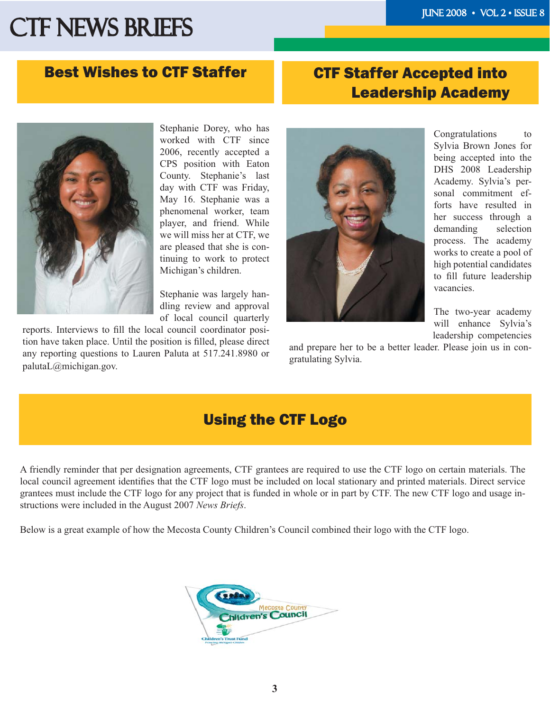# CTF NEWS BRIEFS THE TELL THE 2008 • VOL 2 • ISSUE 8

#### Best Wishes to CTF Staffer

## CTF Staffer Accepted into Leadership Academy



Stephanie Dorey, who has worked with CTF since 2006, recently accepted a CPS position with Eaton County. Stephanie's last day with CTF was Friday, May 16. Stephanie was a phenomenal worker, team player, and friend. While we will miss her at CTF, we are pleased that she is continuing to work to protect Michigan's children.

Stephanie was largely handling review and approval of local council quarterly

reports. Interviews to fill the local council coordinator position have taken place. Until the position is filled, please direct any reporting questions to Lauren Paluta at 517.241.8980 or palutaL@michigan.gov.



Congratulations to Sylvia Brown Jones for being accepted into the DHS 2008 Leadership Academy. Sylvia's personal commitment efforts have resulted in her success through a demanding selection process. The academy works to create a pool of high potential candidates to fill future leadership vacancies.

The two-year academy will enhance Sylvia's leadership competencies

and prepare her to be a better leader. Please join us in congratulating Sylvia.

## Using the CTF Logo

A friendly reminder that per designation agreements, CTF grantees are required to use the CTF logo on certain materials. The local council agreement identifies that the CTF logo must be included on local stationary and printed materials. Direct service grantees must include the CTF logo for any project that is funded in whole or in part by CTF. The new CTF logo and usage instructions were included in the August 2007 *News Briefs*.

Below is a great example of how the Mecosta County Children's Council combined their logo with the CTF logo.

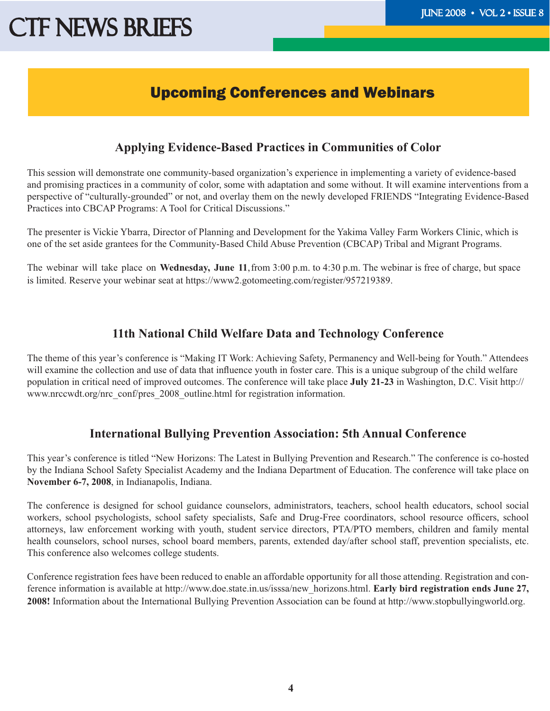# CTF NEWS BRIEFS THE TELL THE 2008 • VOL 2 • ISSUE 8

#### Upcoming Conferences and Webinars

#### **Applying Evidence-Based Practices in Communities of Color**

This session will demonstrate one community-based organization's experience in implementing a variety of evidence-based and promising practices in a community of color, some with adaptation and some without. It will examine interventions from a perspective of "culturally-grounded" or not, and overlay them on the newly developed FRIENDS "Integrating Evidence-Based Practices into CBCAP Programs: A Tool for Critical Discussions."

The presenter is Vickie Ybarra, Director of Planning and Development for the Yakima Valley Farm Workers Clinic, which is one of the set aside grantees for the Community-Based Child Abuse Prevention (CBCAP) Tribal and Migrant Programs.

The webinar will take place on **Wednesday, June 11**, from 3:00 p.m. to 4:30 p.m. The webinar is free of charge, but space is limited. Reserve your webinar seat at https://www2.gotomeeting.com/register/957219389.

#### **11th National Child Welfare Data and Technology Conference**

The theme of this year's conference is "Making IT Work: Achieving Safety, Permanency and Well-being for Youth." Attendees will examine the collection and use of data that influence youth in foster care. This is a unique subgroup of the child welfare population in critical need of improved outcomes. The conference will take place **July 21-23** in Washington, D.C. Visit http:// www.nrccwdt.org/nrc\_conf/pres\_2008\_outline.html for registration information.

#### **International Bullying Prevention Association: 5th Annual Conference**

This year's conference is titled "New Horizons: The Latest in Bullying Prevention and Research." The conference is co-hosted by the Indiana School Safety Specialist Academy and the Indiana Department of Education. The conference will take place on **November 6-7, 2008**, in Indianapolis, Indiana.

The conference is designed for school guidance counselors, administrators, teachers, school health educators, school social workers, school psychologists, school safety specialists, Safe and Drug-Free coordinators, school resource officers, school attorneys, law enforcement working with youth, student service directors, PTA/PTO members, children and family mental health counselors, school nurses, school board members, parents, extended day/after school staff, prevention specialists, etc. This conference also welcomes college students.

Conference registration fees have been reduced to enable an affordable opportunity for all those attending. Registration and conference information is available at http://www.doe.state.in.us/isssa/new\_horizons.html. **Early bird registration ends June 27, 2008!** Information about the International Bullying Prevention Association can be found at http://www.stopbullyingworld.org.